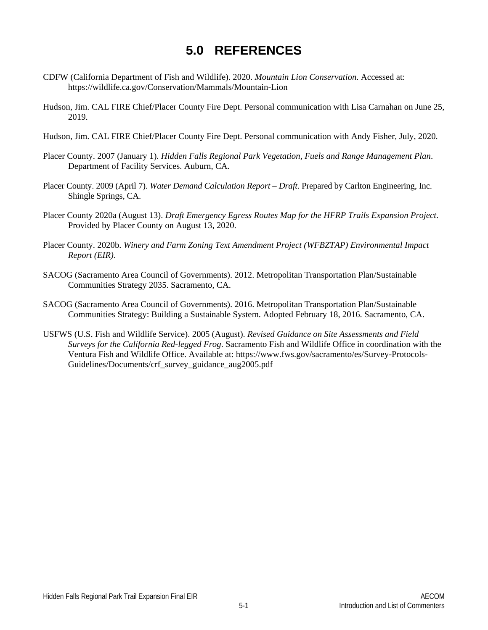## **5.0 REFERENCES**

- CDFW (California Department of Fish and Wildlife). 2020. *Mountain Lion Conservation*. Accessed at: https://wildlife.ca.gov/Conservation/Mammals/Mountain-Lion
- Hudson, Jim. CAL FIRE Chief/Placer County Fire Dept. Personal communication with Lisa Carnahan on June 25, 2019.
- Hudson, Jim. CAL FIRE Chief/Placer County Fire Dept. Personal communication with Andy Fisher, July, 2020.
- Placer County. 2007 (January 1). *Hidden Falls Regional Park Vegetation, Fuels and Range Management Plan*. Department of Facility Services. Auburn, CA.
- Placer County. 2009 (April 7). *Water Demand Calculation Report – Draft*. Prepared by Carlton Engineering, Inc. Shingle Springs, CA.
- Placer County 2020a (August 13). *Draft Emergency Egress Routes Map for the HFRP Trails Expansion Project*. Provided by Placer County on August 13, 2020.
- Placer County. 2020b. *Winery and Farm Zoning Text Amendment Project (WFBZTAP) Environmental Impact Report (EIR)*.
- SACOG (Sacramento Area Council of Governments). 2012. Metropolitan Transportation Plan/Sustainable Communities Strategy 2035. Sacramento, CA.
- SACOG (Sacramento Area Council of Governments). 2016. Metropolitan Transportation Plan/Sustainable Communities Strategy: Building a Sustainable System. Adopted February 18, 2016. Sacramento, CA.
- USFWS (U.S. Fish and Wildlife Service). 2005 (August). *Revised Guidance on Site Assessments and Field Surveys for the California Red-legged Frog*. Sacramento Fish and Wildlife Office in coordination with the Ventura Fish and Wildlife Office. Available at: https://www.fws.gov/sacramento/es/Survey-Protocols-Guidelines/Documents/crf\_survey\_guidance\_aug2005.pdf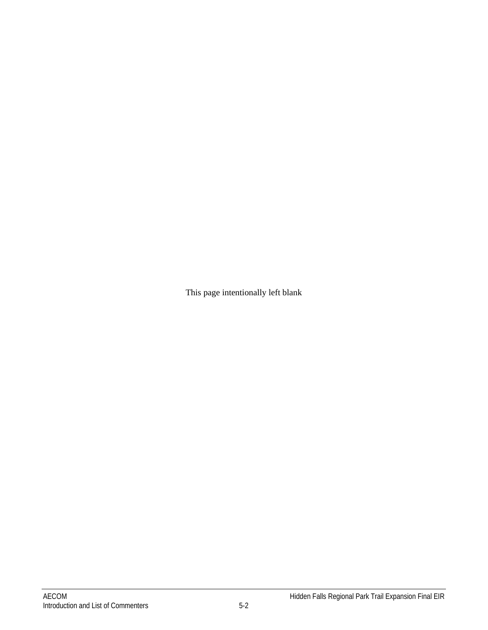This page intentionally left blank